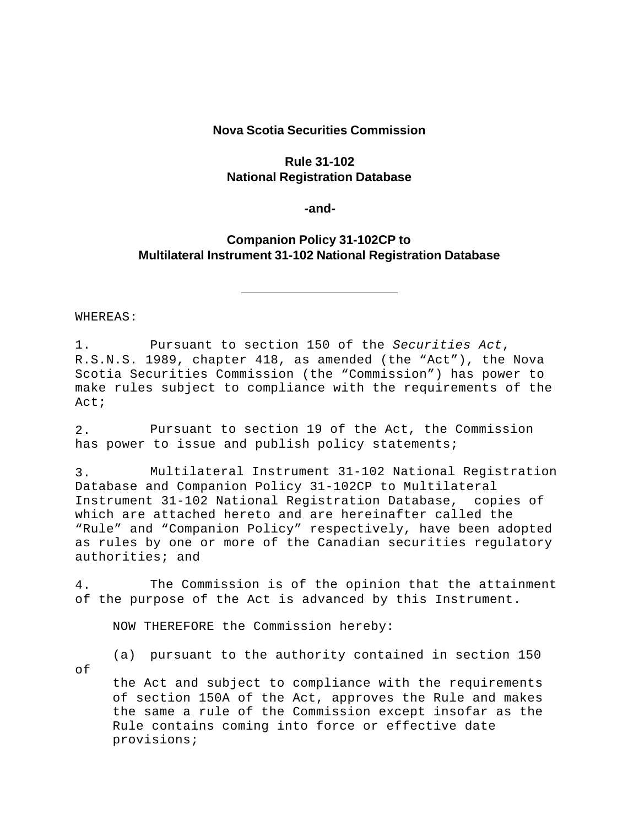#### **Nova Scotia Securities Commission**

# **Rule 31-102 National Registration Database**

**-and-**

# **Companion Policy 31-102CP to Multilateral Instrument 31-102 National Registration Database**

WHEREAS:

1. Pursuant to section 150 of the *Securities Act*, R.S.N.S. 1989, chapter 418, as amended (the "Act"), the Nova Scotia Securities Commission (the "Commission") has power to make rules subject to compliance with the requirements of the Act;

2. Pursuant to section 19 of the Act, the Commission has power to issue and publish policy statements;

3. Multilateral Instrument 31-102 National Registration Database and Companion Policy 31-102CP to Multilateral Instrument 31-102 National Registration Database, copies of which are attached hereto and are hereinafter called the "Rule" and "Companion Policy" respectively, have been adopted as rules by one or more of the Canadian securities regulatory authorities; and

4. The Commission is of the opinion that the attainment of the purpose of the Act is advanced by this Instrument.

NOW THEREFORE the Commission hereby:

of

(a) pursuant to the authority contained in section 150

the Act and subject to compliance with the requirements of section 150A of the Act, approves the Rule and makes the same a rule of the Commission except insofar as the Rule contains coming into force or effective date provisions;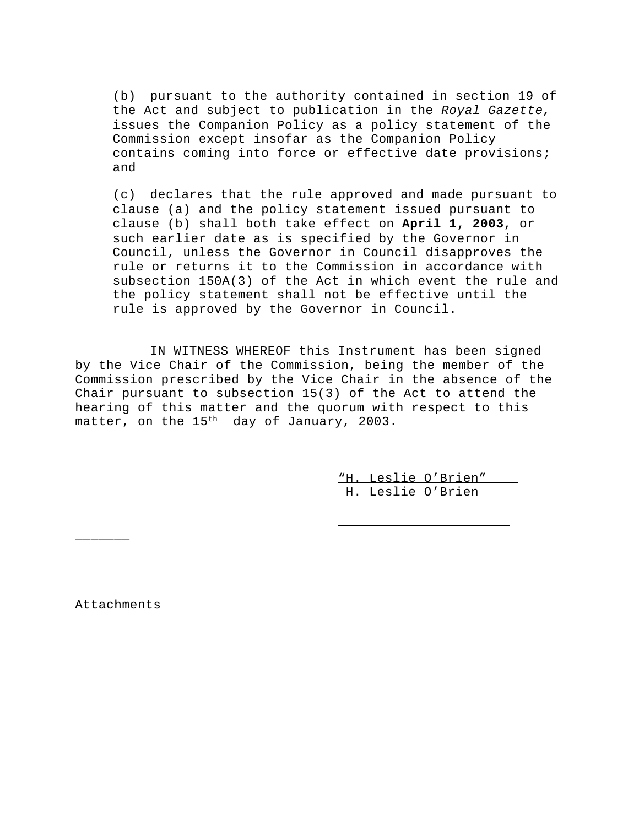(b) pursuant to the authority contained in section 19 of the Act and subject to publication in the *Royal Gazette,* issues the Companion Policy as a policy statement of the Commission except insofar as the Companion Policy contains coming into force or effective date provisions; and

(c) declares that the rule approved and made pursuant to clause (a) and the policy statement issued pursuant to clause (b) shall both take effect on **April 1, 2003**, or such earlier date as is specified by the Governor in Council, unless the Governor in Council disapproves the rule or returns it to the Commission in accordance with subsection 150A(3) of the Act in which event the rule and the policy statement shall not be effective until the rule is approved by the Governor in Council.

IN WITNESS WHEREOF this Instrument has been signed by the Vice Chair of the Commission, being the member of the Commission prescribed by the Vice Chair in the absence of the Chair pursuant to subsection 15(3) of the Act to attend the hearing of this matter and the quorum with respect to this matter, on the  $15<sup>th</sup>$  day of January, 2003.

 $\overline{\phantom{0}}$ 

"H. Leslie O'Brien" H. Leslie O'Brien

Attachments

\_\_\_\_\_\_\_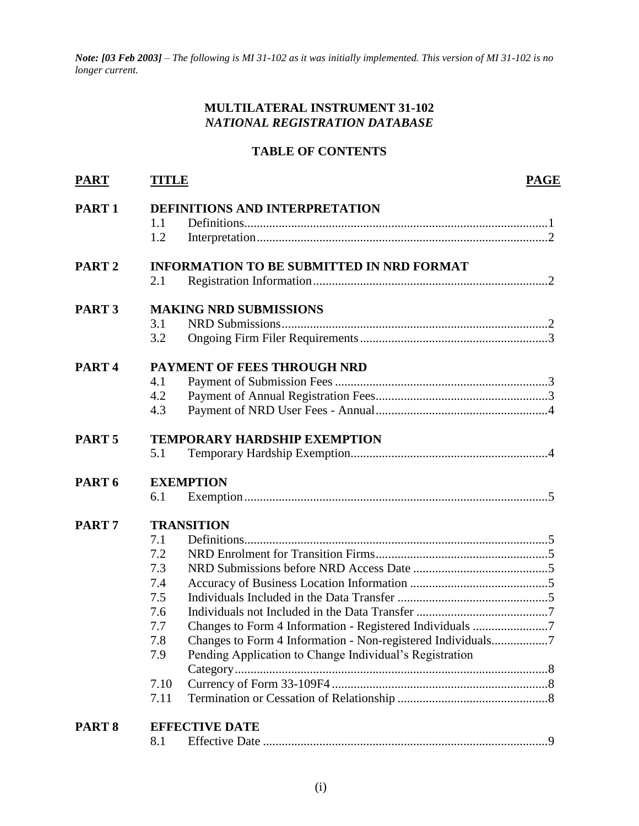*Note: [03 Feb 2003] – The following is MI 31-102 as it was initially implemented. This version of MI 31-102 is no longer current.*

## **MULTILATERAL INSTRUMENT 31-102** *NATIONAL REGISTRATION DATABASE*

# **TABLE OF CONTENTS**

|                                     |                                                         | <b>PAGE</b>                                                                               |  |
|-------------------------------------|---------------------------------------------------------|-------------------------------------------------------------------------------------------|--|
| DEFINITIONS AND INTERPRETATION      |                                                         |                                                                                           |  |
| 1.1                                 |                                                         |                                                                                           |  |
| 1.2                                 |                                                         |                                                                                           |  |
|                                     |                                                         |                                                                                           |  |
| 2.1                                 |                                                         |                                                                                           |  |
| <b>MAKING NRD SUBMISSIONS</b>       |                                                         |                                                                                           |  |
| 3.1                                 |                                                         |                                                                                           |  |
| 3.2                                 |                                                         |                                                                                           |  |
| PAYMENT OF FEES THROUGH NRD         |                                                         |                                                                                           |  |
| 4.1                                 |                                                         |                                                                                           |  |
| 4.2                                 |                                                         |                                                                                           |  |
| 4.3                                 |                                                         |                                                                                           |  |
| <b>TEMPORARY HARDSHIP EXEMPTION</b> |                                                         |                                                                                           |  |
| 5.1                                 |                                                         |                                                                                           |  |
| <b>EXEMPTION</b>                    |                                                         |                                                                                           |  |
| 6.1                                 |                                                         |                                                                                           |  |
| <b>TRANSITION</b>                   |                                                         |                                                                                           |  |
| 7.1                                 |                                                         |                                                                                           |  |
| 7.2                                 |                                                         |                                                                                           |  |
| 7.3                                 |                                                         |                                                                                           |  |
| 7.4                                 |                                                         |                                                                                           |  |
| 7.5                                 |                                                         |                                                                                           |  |
| 7.6                                 |                                                         |                                                                                           |  |
| 7.7                                 |                                                         |                                                                                           |  |
| 7.8                                 |                                                         |                                                                                           |  |
| 7.9                                 | Pending Application to Change Individual's Registration |                                                                                           |  |
|                                     |                                                         |                                                                                           |  |
| 7.11                                |                                                         |                                                                                           |  |
|                                     |                                                         |                                                                                           |  |
|                                     |                                                         |                                                                                           |  |
|                                     | 7.10<br>8.1                                             | <b>TITLE</b><br><b>INFORMATION TO BE SUBMITTED IN NRD FORMAT</b><br><b>EFFECTIVE DATE</b> |  |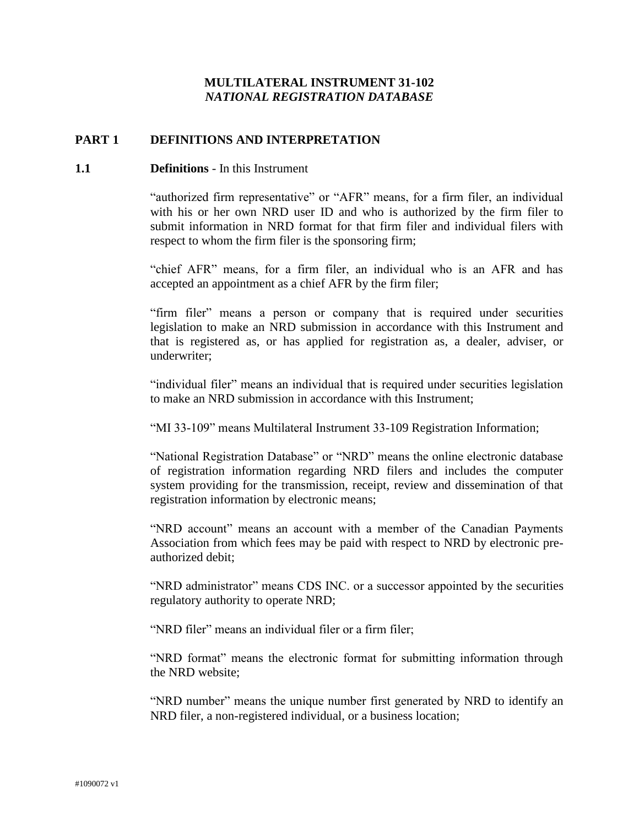## **MULTILATERAL INSTRUMENT 31-102** *NATIONAL REGISTRATION DATABASE*

## **PART 1 DEFINITIONS AND INTERPRETATION**

#### **1.1 Definitions** - In this Instrument

"authorized firm representative" or "AFR" means, for a firm filer, an individual with his or her own NRD user ID and who is authorized by the firm filer to submit information in NRD format for that firm filer and individual filers with respect to whom the firm filer is the sponsoring firm;

"chief AFR" means, for a firm filer, an individual who is an AFR and has accepted an appointment as a chief AFR by the firm filer;

"firm filer" means a person or company that is required under securities legislation to make an NRD submission in accordance with this Instrument and that is registered as, or has applied for registration as, a dealer, adviser, or underwriter;

"individual filer" means an individual that is required under securities legislation to make an NRD submission in accordance with this Instrument;

"MI 33-109" means Multilateral Instrument 33-109 Registration Information;

"National Registration Database" or "NRD" means the online electronic database of registration information regarding NRD filers and includes the computer system providing for the transmission, receipt, review and dissemination of that registration information by electronic means;

"NRD account" means an account with a member of the Canadian Payments Association from which fees may be paid with respect to NRD by electronic preauthorized debit;

"NRD administrator" means CDS INC. or a successor appointed by the securities regulatory authority to operate NRD;

"NRD filer" means an individual filer or a firm filer;

"NRD format" means the electronic format for submitting information through the NRD website;

"NRD number" means the unique number first generated by NRD to identify an NRD filer, a non-registered individual, or a business location;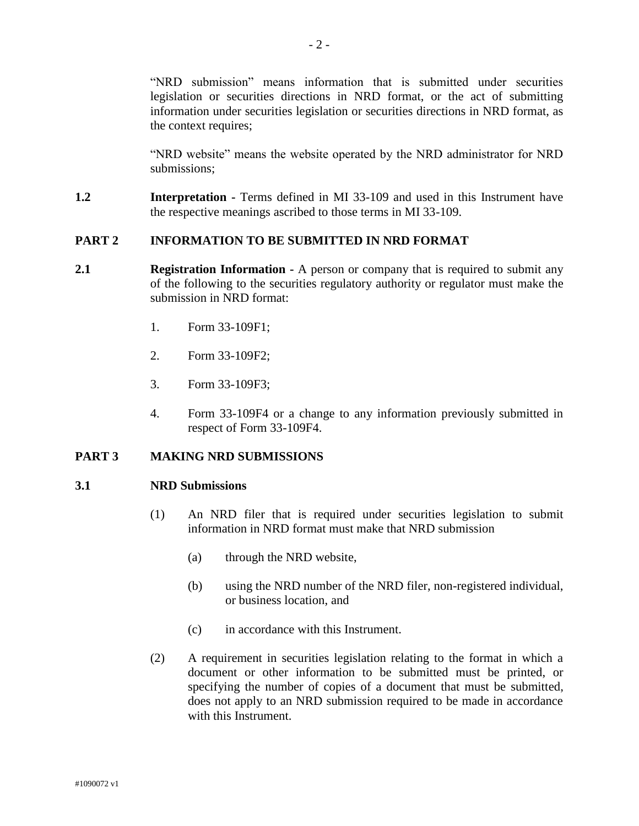"NRD submission" means information that is submitted under securities legislation or securities directions in NRD format, or the act of submitting information under securities legislation or securities directions in NRD format, as the context requires;

"NRD website" means the website operated by the NRD administrator for NRD submissions;

**1.2 Interpretation -** Terms defined in MI 33-109 and used in this Instrument have the respective meanings ascribed to those terms in MI 33-109.

## **PART 2 INFORMATION TO BE SUBMITTED IN NRD FORMAT**

- **2.1 Registration Information -** A person or company that is required to submit any of the following to the securities regulatory authority or regulator must make the submission in NRD format:
	- 1. Form 33-109F1;
	- 2. Form 33-109F2;
	- 3. Form 33-109F3;
	- 4. Form 33-109F4 or a change to any information previously submitted in respect of Form 33-109F4.

## **PART 3 MAKING NRD SUBMISSIONS**

#### **3.1 NRD Submissions**

- (1) An NRD filer that is required under securities legislation to submit information in NRD format must make that NRD submission
	- (a) through the NRD website,
	- (b) using the NRD number of the NRD filer, non-registered individual, or business location, and
	- (c) in accordance with this Instrument.
- (2) A requirement in securities legislation relating to the format in which a document or other information to be submitted must be printed, or specifying the number of copies of a document that must be submitted, does not apply to an NRD submission required to be made in accordance with this Instrument.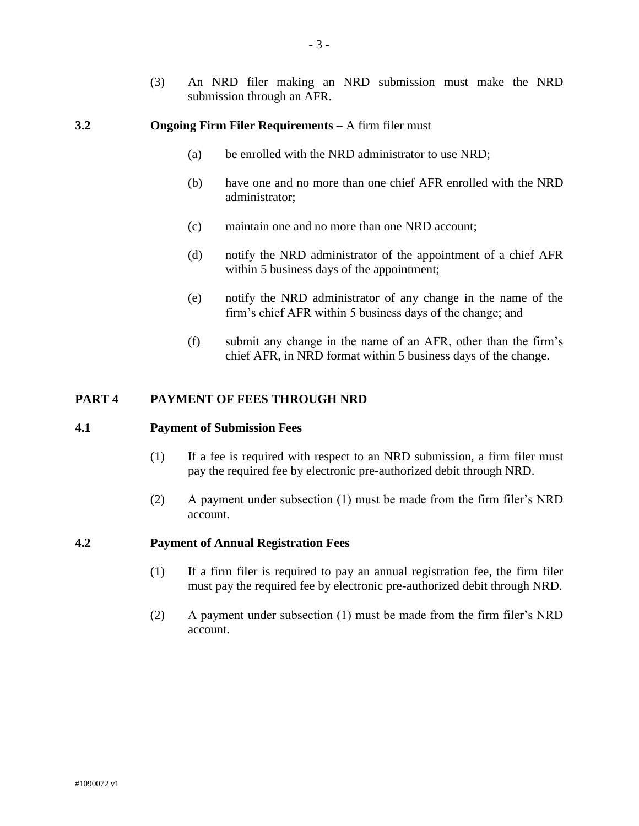(3) An NRD filer making an NRD submission must make the NRD submission through an AFR.

#### **3.2 Ongoing Firm Filer Requirements –** A firm filer must

- (a) be enrolled with the NRD administrator to use NRD;
- (b) have one and no more than one chief AFR enrolled with the NRD administrator;
- (c) maintain one and no more than one NRD account;
- (d) notify the NRD administrator of the appointment of a chief AFR within 5 business days of the appointment;
- (e) notify the NRD administrator of any change in the name of the firm's chief AFR within 5 business days of the change; and
- (f) submit any change in the name of an AFR, other than the firm's chief AFR, in NRD format within 5 business days of the change.

## **PART 4 PAYMENT OF FEES THROUGH NRD**

#### **4.1 Payment of Submission Fees**

- (1) If a fee is required with respect to an NRD submission, a firm filer must pay the required fee by electronic pre-authorized debit through NRD.
- (2) A payment under subsection (1) must be made from the firm filer's NRD account.

#### **4.2 Payment of Annual Registration Fees**

- (1) If a firm filer is required to pay an annual registration fee, the firm filer must pay the required fee by electronic pre-authorized debit through NRD.
- (2) A payment under subsection (1) must be made from the firm filer's NRD account.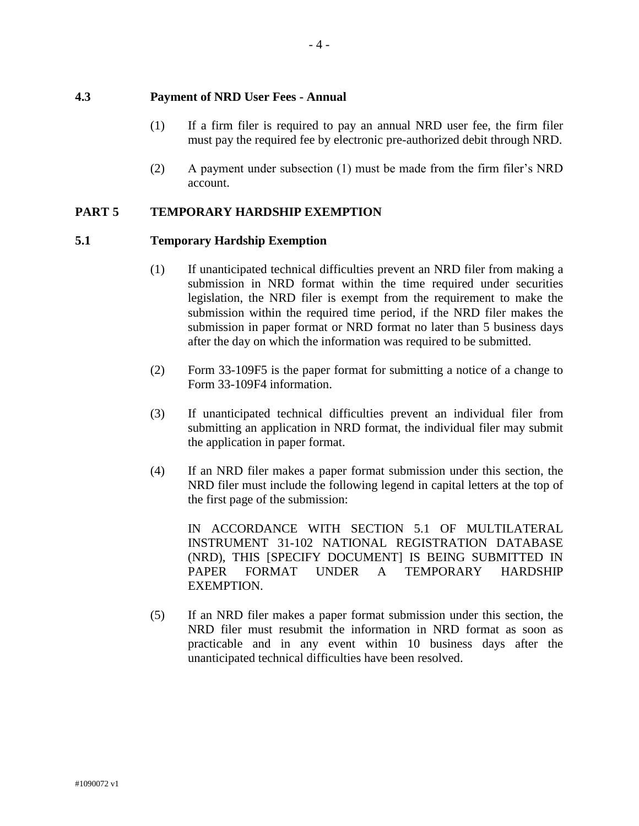## **4.3 Payment of NRD User Fees - Annual**

- (1) If a firm filer is required to pay an annual NRD user fee, the firm filer must pay the required fee by electronic pre-authorized debit through NRD.
- (2) A payment under subsection (1) must be made from the firm filer's NRD account.

# **PART 5 TEMPORARY HARDSHIP EXEMPTION**

## **5.1 Temporary Hardship Exemption**

- (1) If unanticipated technical difficulties prevent an NRD filer from making a submission in NRD format within the time required under securities legislation, the NRD filer is exempt from the requirement to make the submission within the required time period, if the NRD filer makes the submission in paper format or NRD format no later than 5 business days after the day on which the information was required to be submitted.
- (2) Form 33-109F5 is the paper format for submitting a notice of a change to Form 33-109F4 information.
- (3) If unanticipated technical difficulties prevent an individual filer from submitting an application in NRD format, the individual filer may submit the application in paper format.
- (4) If an NRD filer makes a paper format submission under this section, the NRD filer must include the following legend in capital letters at the top of the first page of the submission:

IN ACCORDANCE WITH SECTION 5.1 OF MULTILATERAL INSTRUMENT 31-102 NATIONAL REGISTRATION DATABASE (NRD), THIS [SPECIFY DOCUMENT] IS BEING SUBMITTED IN PAPER FORMAT UNDER A TEMPORARY HARDSHIP EXEMPTION.

(5) If an NRD filer makes a paper format submission under this section, the NRD filer must resubmit the information in NRD format as soon as practicable and in any event within 10 business days after the unanticipated technical difficulties have been resolved.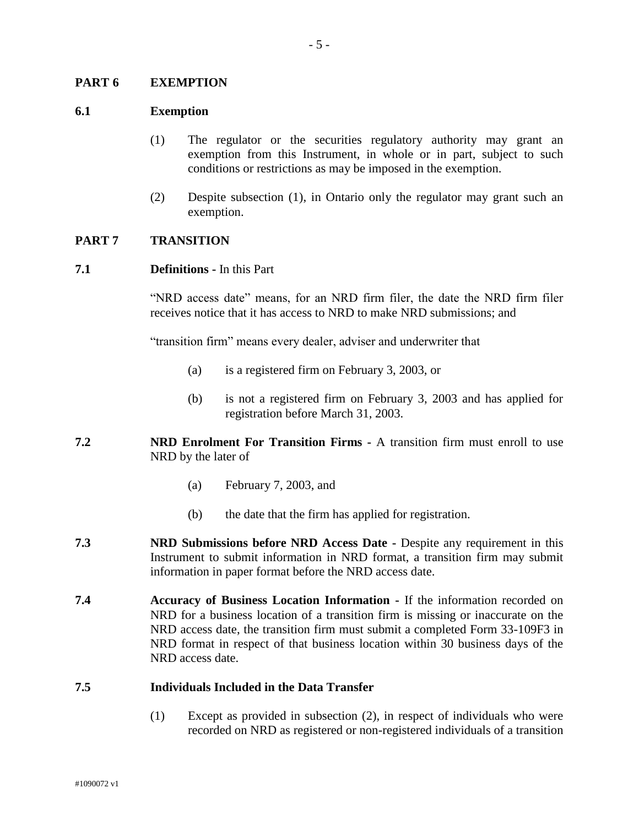#### **PART 6 EXEMPTION**

#### **6.1 Exemption**

- (1) The regulator or the securities regulatory authority may grant an exemption from this Instrument, in whole or in part, subject to such conditions or restrictions as may be imposed in the exemption.
- (2) Despite subsection (1), in Ontario only the regulator may grant such an exemption.

#### **PART 7 TRANSITION**

#### **7.1 Definitions -** In this Part

"NRD access date" means, for an NRD firm filer, the date the NRD firm filer receives notice that it has access to NRD to make NRD submissions; and

"transition firm" means every dealer, adviser and underwriter that

- (a) is a registered firm on February 3, 2003, or
- (b) is not a registered firm on February 3, 2003 and has applied for registration before March 31, 2003.
- **7.2 NRD Enrolment For Transition Firms -** A transition firm must enroll to use NRD by the later of
	- (a) February 7, 2003, and
	- (b) the date that the firm has applied for registration.
- **7.3 NRD Submissions before NRD Access Date -** Despite any requirement in this Instrument to submit information in NRD format, a transition firm may submit information in paper format before the NRD access date.
- **7.4 Accuracy of Business Location Information -** If the information recorded on NRD for a business location of a transition firm is missing or inaccurate on the NRD access date, the transition firm must submit a completed Form 33-109F3 in NRD format in respect of that business location within 30 business days of the NRD access date.

#### **7.5 Individuals Included in the Data Transfer**

(1) Except as provided in subsection (2), in respect of individuals who were recorded on NRD as registered or non-registered individuals of a transition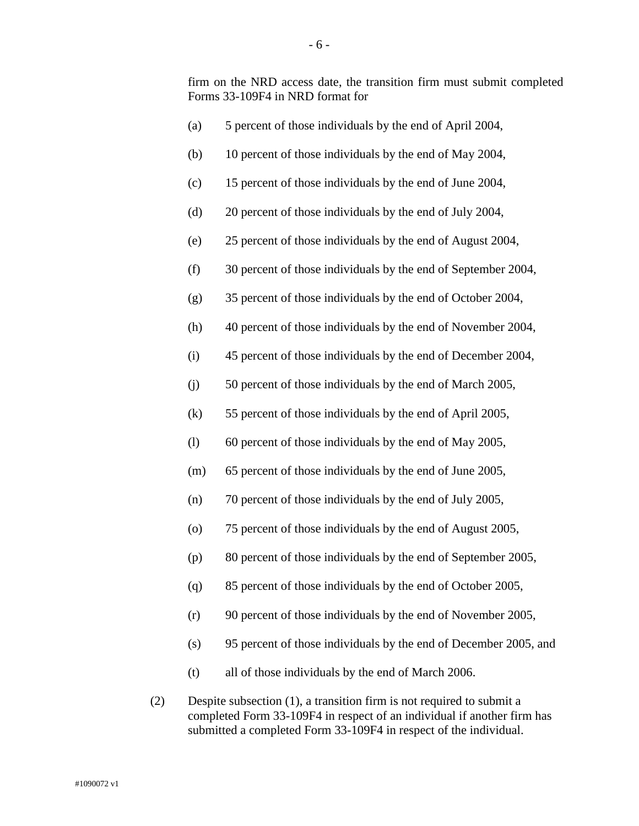firm on the NRD access date, the transition firm must submit completed Forms 33-109F4 in NRD format for

|     | (a) | 5 percent of those individuals by the end of April 2004,                 |
|-----|-----|--------------------------------------------------------------------------|
|     | (b) | 10 percent of those individuals by the end of May 2004,                  |
|     | (c) | 15 percent of those individuals by the end of June 2004,                 |
|     | (d) | 20 percent of those individuals by the end of July 2004,                 |
|     | (e) | 25 percent of those individuals by the end of August 2004,               |
|     | (f) | 30 percent of those individuals by the end of September 2004,            |
|     | (g) | 35 percent of those individuals by the end of October 2004,              |
|     | (h) | 40 percent of those individuals by the end of November 2004,             |
|     | (i) | 45 percent of those individuals by the end of December 2004,             |
|     | (j) | 50 percent of those individuals by the end of March 2005,                |
|     | (k) | 55 percent of those individuals by the end of April 2005,                |
|     | (1) | 60 percent of those individuals by the end of May 2005,                  |
|     | (m) | 65 percent of those individuals by the end of June 2005,                 |
|     | (n) | 70 percent of those individuals by the end of July 2005,                 |
|     | (0) | 75 percent of those individuals by the end of August 2005,               |
|     | (p) | 80 percent of those individuals by the end of September 2005,            |
|     | (q) | 85 percent of those individuals by the end of October 2005.              |
|     | (r) | 90 percent of those individuals by the end of November 2005,             |
|     | (s) | 95 percent of those individuals by the end of December 2005, and         |
|     | (t) | all of those individuals by the end of March 2006.                       |
| (2) |     | Despite subsection $(1)$ , a transition firm is not required to submit a |

completed Form 33-109F4 in respect of an individual if another firm has submitted a completed Form 33-109F4 in respect of the individual.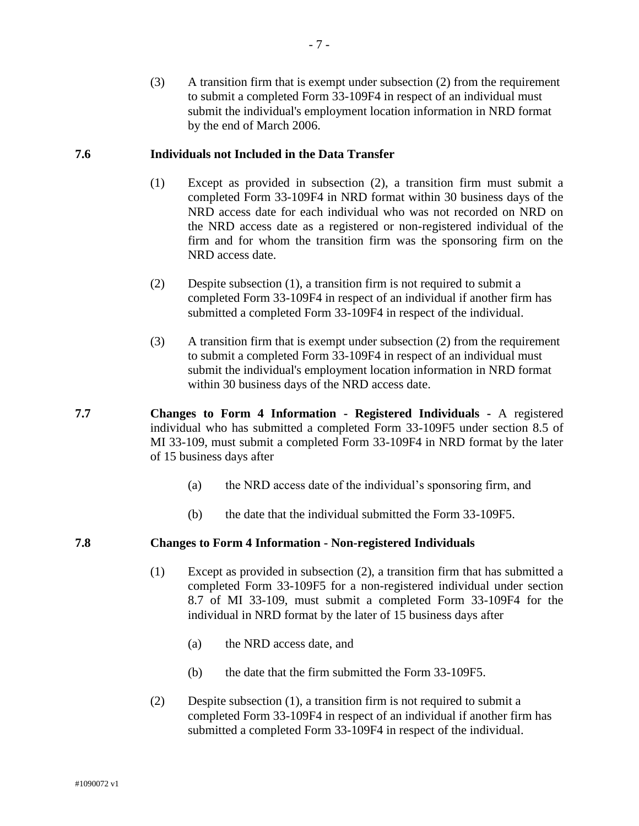(3) A transition firm that is exempt under subsection (2) from the requirement to submit a completed Form 33-109F4 in respect of an individual must submit the individual's employment location information in NRD format by the end of March 2006.

### **7.6 Individuals not Included in the Data Transfer**

- (1) Except as provided in subsection (2), a transition firm must submit a completed Form 33-109F4 in NRD format within 30 business days of the NRD access date for each individual who was not recorded on NRD on the NRD access date as a registered or non-registered individual of the firm and for whom the transition firm was the sponsoring firm on the NRD access date.
- (2) Despite subsection (1), a transition firm is not required to submit a completed Form 33-109F4 in respect of an individual if another firm has submitted a completed Form 33-109F4 in respect of the individual.
- (3) A transition firm that is exempt under subsection (2) from the requirement to submit a completed Form 33-109F4 in respect of an individual must submit the individual's employment location information in NRD format within 30 business days of the NRD access date.
- **7.7 Changes to Form 4 Information - Registered Individuals -** A registered individual who has submitted a completed Form 33-109F5 under section 8.5 of MI 33-109, must submit a completed Form 33-109F4 in NRD format by the later of 15 business days after
	- (a) the NRD access date of the individual's sponsoring firm, and
	- (b) the date that the individual submitted the Form 33-109F5.

## **7.8 Changes to Form 4 Information - Non-registered Individuals**

- (1) Except as provided in subsection (2), a transition firm that has submitted a completed Form 33-109F5 for a non-registered individual under section 8.7 of MI 33-109, must submit a completed Form 33-109F4 for the individual in NRD format by the later of 15 business days after
	- (a) the NRD access date, and
	- (b) the date that the firm submitted the Form 33-109F5.
- (2) Despite subsection (1), a transition firm is not required to submit a completed Form 33-109F4 in respect of an individual if another firm has submitted a completed Form 33-109F4 in respect of the individual.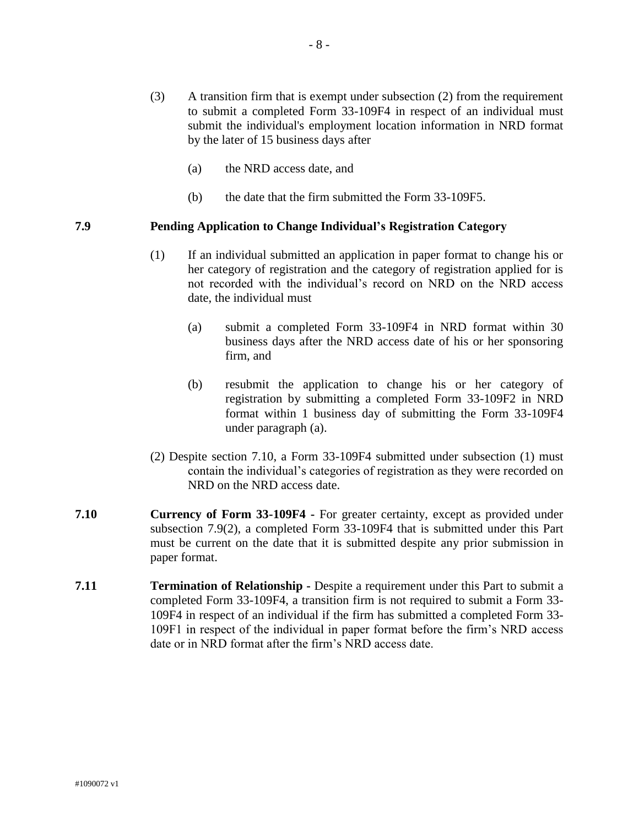- (3) A transition firm that is exempt under subsection (2) from the requirement to submit a completed Form 33-109F4 in respect of an individual must submit the individual's employment location information in NRD format by the later of 15 business days after
	- (a) the NRD access date, and
	- (b) the date that the firm submitted the Form 33-109F5.

## **7.9 Pending Application to Change Individual's Registration Category**

- (1) If an individual submitted an application in paper format to change his or her category of registration and the category of registration applied for is not recorded with the individual's record on NRD on the NRD access date, the individual must
	- (a) submit a completed Form 33-109F4 in NRD format within 30 business days after the NRD access date of his or her sponsoring firm, and
	- (b) resubmit the application to change his or her category of registration by submitting a completed Form 33-109F2 in NRD format within 1 business day of submitting the Form 33-109F4 under paragraph (a).
- (2) Despite section 7.10, a Form 33-109F4 submitted under subsection (1) must contain the individual's categories of registration as they were recorded on NRD on the NRD access date.
- **7.10 Currency of Form 33-109F4 -** For greater certainty, except as provided under subsection 7.9(2), a completed Form 33-109F4 that is submitted under this Part must be current on the date that it is submitted despite any prior submission in paper format.
- **7.11 Termination of Relationship -** Despite a requirement under this Part to submit a completed Form 33-109F4, a transition firm is not required to submit a Form 33- 109F4 in respect of an individual if the firm has submitted a completed Form 33- 109F1 in respect of the individual in paper format before the firm's NRD access date or in NRD format after the firm's NRD access date.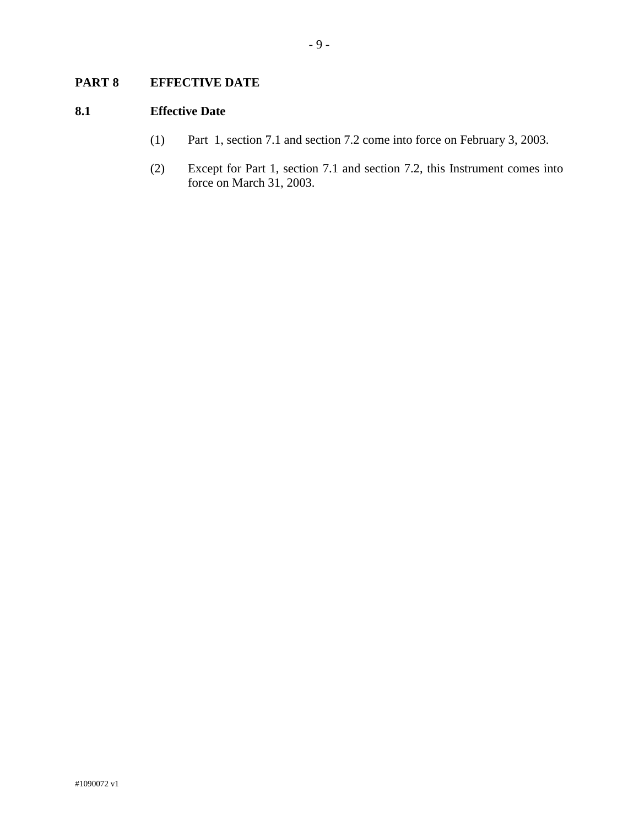# **PART 8 EFFECTIVE DATE**

## **8.1 Effective Date**

- (1) Part 1, section 7.1 and section 7.2 come into force on February 3, 2003.
- (2) Except for Part 1, section 7.1 and section 7.2, this Instrument comes into force on March 31, 2003.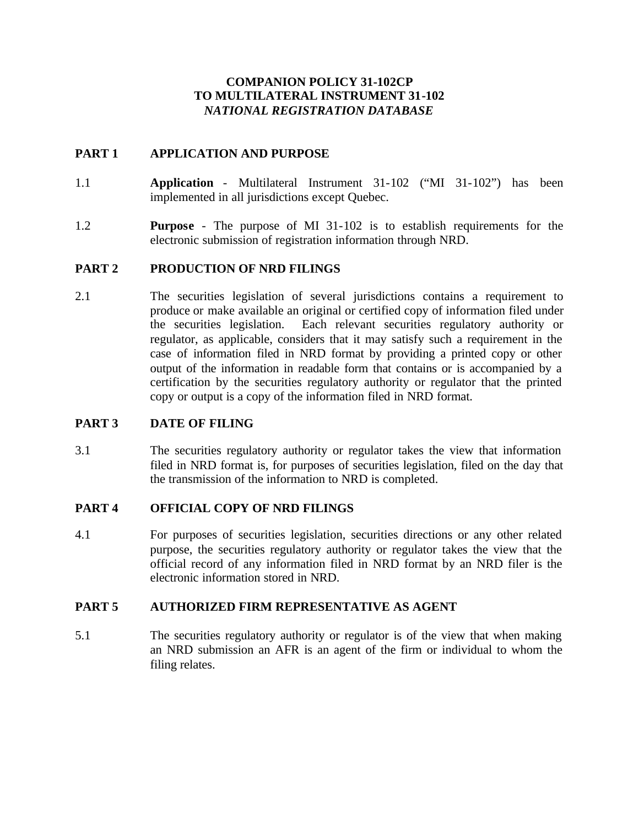## **COMPANION POLICY 31-102CP TO MULTILATERAL INSTRUMENT 31-102** *NATIONAL REGISTRATION DATABASE*

## **PART 1 APPLICATION AND PURPOSE**

- 1.1 **Application** Multilateral Instrument 31-102 ("MI 31-102") has been implemented in all jurisdictions except Quebec.
- 1.2 **Purpose** The purpose of MI 31-102 is to establish requirements for the electronic submission of registration information through NRD.

## **PART 2 PRODUCTION OF NRD FILINGS**

2.1 The securities legislation of several jurisdictions contains a requirement to produce or make available an original or certified copy of information filed under the securities legislation. Each relevant securities regulatory authority or regulator, as applicable, considers that it may satisfy such a requirement in the case of information filed in NRD format by providing a printed copy or other output of the information in readable form that contains or is accompanied by a certification by the securities regulatory authority or regulator that the printed copy or output is a copy of the information filed in NRD format.

## **PART 3 DATE OF FILING**

3.1 The securities regulatory authority or regulator takes the view that information filed in NRD format is, for purposes of securities legislation, filed on the day that the transmission of the information to NRD is completed.

## **PART 4 OFFICIAL COPY OF NRD FILINGS**

4.1 For purposes of securities legislation, securities directions or any other related purpose, the securities regulatory authority or regulator takes the view that the official record of any information filed in NRD format by an NRD filer is the electronic information stored in NRD.

## **PART 5 AUTHORIZED FIRM REPRESENTATIVE AS AGENT**

5.1 The securities regulatory authority or regulator is of the view that when making an NRD submission an AFR is an agent of the firm or individual to whom the filing relates.